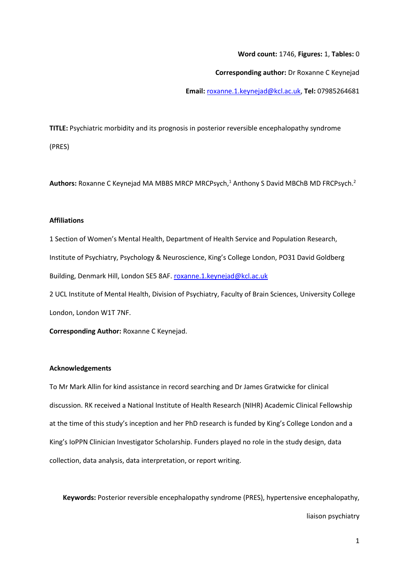## **Word count:** 1746, **Figures:** 1, **Tables:** 0

**Corresponding author:** Dr Roxanne C Keynejad

**Email:** [roxanne.1.keynejad@kcl.ac.uk,](mailto:roxanne.1.keynejad@kcl.ac.uk) **Tel:** 07985264681

**TITLE:** Psychiatric morbidity and its prognosis in posterior reversible encephalopathy syndrome (PRES)

Authors: Roxanne C Keynejad MA MBBS MRCP MRCPsych,<sup>1</sup> Anthony S David MBChB MD FRCPsych.<sup>2</sup>

## **Affiliations**

1 Section of Women's Mental Health, Department of Health Service and Population Research, Institute of Psychiatry, Psychology & Neuroscience, King's College London, PO31 David Goldberg Building, Denmark Hill, London SE5 8AF. [roxanne.1.keynejad@kcl.ac.uk](mailto:Roxanne.1.keynejad@kcl.ac.uk)

2 UCL Institute of Mental Health, Division of Psychiatry, Faculty of Brain Sciences, University College London, London W1T 7NF.

**Corresponding Author:** Roxanne C Keynejad.

## **Acknowledgements**

To Mr Mark Allin for kind assistance in record searching and Dr James Gratwicke for clinical discussion. RK received a National Institute of Health Research (NIHR) Academic Clinical Fellowship at the time of this study's inception and her PhD research is funded by King's College London and a King's IoPPN Clinician Investigator Scholarship. Funders played no role in the study design, data collection, data analysis, data interpretation, or report writing.

**Keywords:** Posterior reversible encephalopathy syndrome (PRES), hypertensive encephalopathy,

liaison psychiatry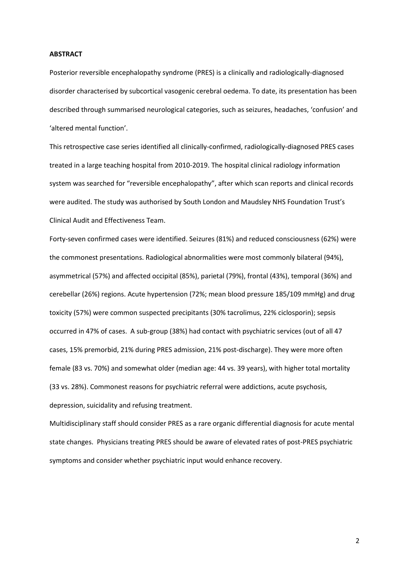# **ABSTRACT**

Posterior reversible encephalopathy syndrome (PRES) is a clinically and radiologically-diagnosed disorder characterised by subcortical vasogenic cerebral oedema. To date, its presentation has been described through summarised neurological categories, such as seizures, headaches, 'confusion' and 'altered mental function'.

This retrospective case series identified all clinically-confirmed, radiologically-diagnosed PRES cases treated in a large teaching hospital from 2010-2019. The hospital clinical radiology information system was searched for "reversible encephalopathy", after which scan reports and clinical records were audited. The study was authorised by South London and Maudsley NHS Foundation Trust's Clinical Audit and Effectiveness Team.

Forty-seven confirmed cases were identified. Seizures (81%) and reduced consciousness (62%) were the commonest presentations. Radiological abnormalities were most commonly bilateral (94%), asymmetrical (57%) and affected occipital (85%), parietal (79%), frontal (43%), temporal (36%) and cerebellar (26%) regions. Acute hypertension (72%; mean blood pressure 185/109 mmHg) and drug toxicity (57%) were common suspected precipitants (30% tacrolimus, 22% ciclosporin); sepsis occurred in 47% of cases. A sub-group (38%) had contact with psychiatric services (out of all 47 cases, 15% premorbid, 21% during PRES admission, 21% post-discharge). They were more often female (83 vs. 70%) and somewhat older (median age: 44 vs. 39 years), with higher total mortality (33 vs. 28%). Commonest reasons for psychiatric referral were addictions, acute psychosis, depression, suicidality and refusing treatment.

Multidisciplinary staff should consider PRES as a rare organic differential diagnosis for acute mental state changes. Physicians treating PRES should be aware of elevated rates of post-PRES psychiatric symptoms and consider whether psychiatric input would enhance recovery.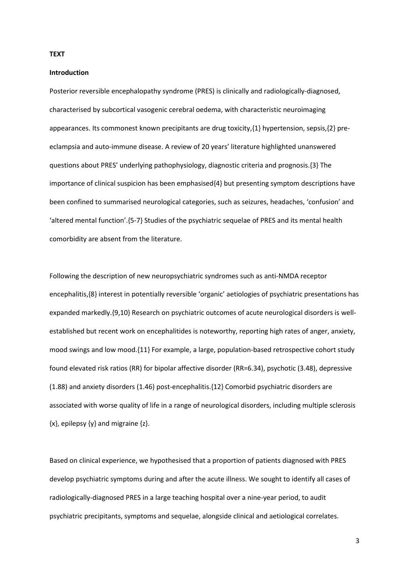#### **TEXT**

## **Introduction**

Posterior reversible encephalopathy syndrome (PRES) is clinically and radiologically-diagnosed, characterised by subcortical vasogenic cerebral oedema, with characteristic neuroimaging appearances. Its commonest known precipitants are drug toxicity,{1} hypertension, sepsis,{2} preeclampsia and auto-immune disease. A review of 20 years' literature highlighted unanswered questions about PRES' underlying pathophysiology, diagnostic criteria and prognosis.{3} The importance of clinical suspicion has been emphasised{4} but presenting symptom descriptions have been confined to summarised neurological categories, such as seizures, headaches, 'confusion' and 'altered mental function'.{5-7} Studies of the psychiatric sequelae of PRES and its mental health comorbidity are absent from the literature.

Following the description of new neuropsychiatric syndromes such as anti-NMDA receptor encephalitis,{8} interest in potentially reversible 'organic' aetiologies of psychiatric presentations has expanded markedly.{9,10} Research on psychiatric outcomes of acute neurological disorders is wellestablished but recent work on encephalitides is noteworthy, reporting high rates of anger, anxiety, mood swings and low mood.{11} For example, a large, population-based retrospective cohort study found elevated risk ratios (RR) for bipolar affective disorder (RR=6.34), psychotic (3.48), depressive (1.88) and anxiety disorders (1.46) post-encephalitis.{12} Comorbid psychiatric disorders are associated with worse quality of life in a range of neurological disorders, including multiple sclerosis  $\{x\}$ , epilepsy  $\{y\}$  and migraine  $\{z\}$ .

Based on clinical experience, we hypothesised that a proportion of patients diagnosed with PRES develop psychiatric symptoms during and after the acute illness. We sought to identify all cases of radiologically-diagnosed PRES in a large teaching hospital over a nine-year period, to audit psychiatric precipitants, symptoms and sequelae, alongside clinical and aetiological correlates.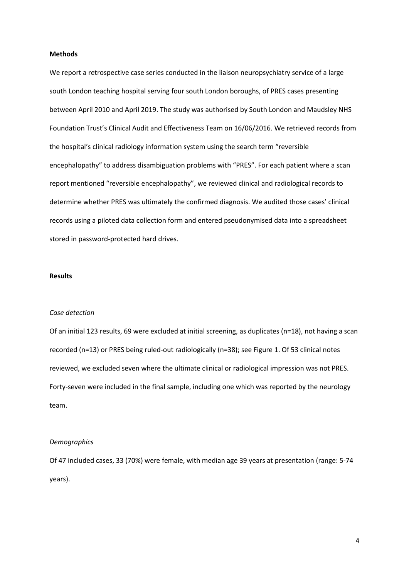## **Methods**

We report a retrospective case series conducted in the liaison neuropsychiatry service of a large south London teaching hospital serving four south London boroughs, of PRES cases presenting between April 2010 and April 2019. The study was authorised by South London and Maudsley NHS Foundation Trust's Clinical Audit and Effectiveness Team on 16/06/2016. We retrieved records from the hospital's clinical radiology information system using the search term "reversible encephalopathy" to address disambiguation problems with "PRES". For each patient where a scan report mentioned "reversible encephalopathy", we reviewed clinical and radiological records to determine whether PRES was ultimately the confirmed diagnosis. We audited those cases' clinical records using a piloted data collection form and entered pseudonymised data into a spreadsheet stored in password-protected hard drives.

## **Results**

## *Case detection*

Of an initial 123 results, 69 were excluded at initial screening, as duplicates (n=18), not having a scan recorded (n=13) or PRES being ruled-out radiologically (n=38); see Figure 1. Of 53 clinical notes reviewed, we excluded seven where the ultimate clinical or radiological impression was not PRES. Forty-seven were included in the final sample, including one which was reported by the neurology team.

### *Demographics*

Of 47 included cases, 33 (70%) were female, with median age 39 years at presentation (range: 5-74 years).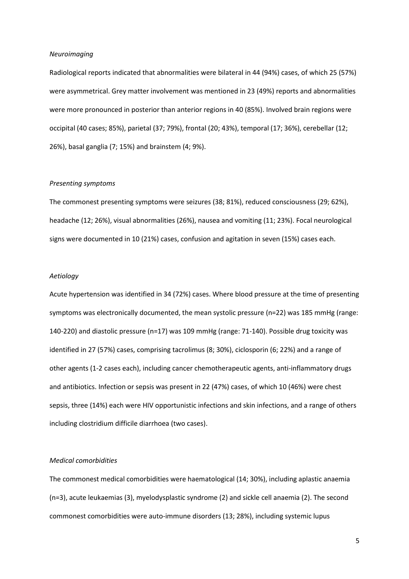#### *Neuroimaging*

Radiological reports indicated that abnormalities were bilateral in 44 (94%) cases, of which 25 (57%) were asymmetrical. Grey matter involvement was mentioned in 23 (49%) reports and abnormalities were more pronounced in posterior than anterior regions in 40 (85%). Involved brain regions were occipital (40 cases; 85%), parietal (37; 79%), frontal (20; 43%), temporal (17; 36%), cerebellar (12; 26%), basal ganglia (7; 15%) and brainstem (4; 9%).

# *Presenting symptoms*

The commonest presenting symptoms were seizures (38; 81%), reduced consciousness (29; 62%), headache (12; 26%), visual abnormalities (26%), nausea and vomiting (11; 23%). Focal neurological signs were documented in 10 (21%) cases, confusion and agitation in seven (15%) cases each.

## *Aetiology*

Acute hypertension was identified in 34 (72%) cases. Where blood pressure at the time of presenting symptoms was electronically documented, the mean systolic pressure (n=22) was 185 mmHg (range: 140-220) and diastolic pressure (n=17) was 109 mmHg (range: 71-140). Possible drug toxicity was identified in 27 (57%) cases, comprising tacrolimus (8; 30%), ciclosporin (6; 22%) and a range of other agents (1-2 cases each), including cancer chemotherapeutic agents, anti-inflammatory drugs and antibiotics. Infection or sepsis was present in 22 (47%) cases, of which 10 (46%) were chest sepsis, three (14%) each were HIV opportunistic infections and skin infections, and a range of others including clostridium difficile diarrhoea (two cases).

# *Medical comorbidities*

The commonest medical comorbidities were haematological (14; 30%), including aplastic anaemia (n=3), acute leukaemias (3), myelodysplastic syndrome (2) and sickle cell anaemia (2). The second commonest comorbidities were auto-immune disorders (13; 28%), including systemic lupus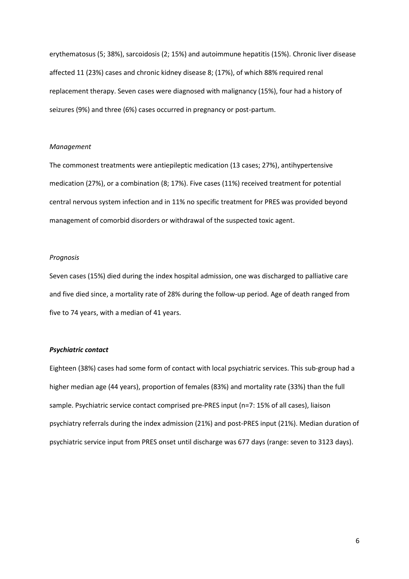erythematosus (5; 38%), sarcoidosis (2; 15%) and autoimmune hepatitis (15%). Chronic liver disease affected 11 (23%) cases and chronic kidney disease 8; (17%), of which 88% required renal replacement therapy. Seven cases were diagnosed with malignancy (15%), four had a history of seizures (9%) and three (6%) cases occurred in pregnancy or post-partum.

### *Management*

The commonest treatments were antiepileptic medication (13 cases; 27%), antihypertensive medication (27%), or a combination (8; 17%). Five cases (11%) received treatment for potential central nervous system infection and in 11% no specific treatment for PRES was provided beyond management of comorbid disorders or withdrawal of the suspected toxic agent.

# *Prognosis*

Seven cases (15%) died during the index hospital admission, one was discharged to palliative care and five died since, a mortality rate of 28% during the follow-up period. Age of death ranged from five to 74 years, with a median of 41 years.

## *Psychiatric contact*

Eighteen (38%) cases had some form of contact with local psychiatric services. This sub-group had a higher median age (44 years), proportion of females (83%) and mortality rate (33%) than the full sample. Psychiatric service contact comprised pre-PRES input (n=7: 15% of all cases), liaison psychiatry referrals during the index admission (21%) and post-PRES input (21%). Median duration of psychiatric service input from PRES onset until discharge was 677 days (range: seven to 3123 days).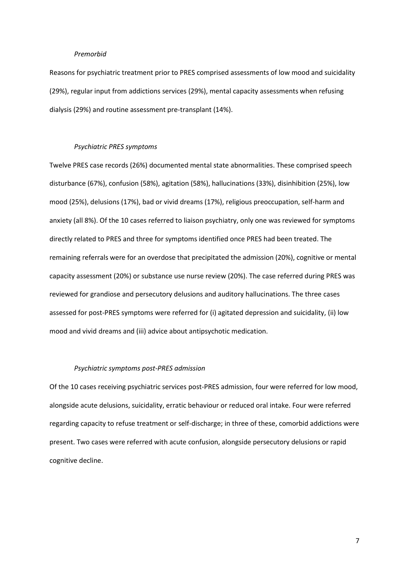#### *Premorbid*

Reasons for psychiatric treatment prior to PRES comprised assessments of low mood and suicidality (29%), regular input from addictions services (29%), mental capacity assessments when refusing dialysis (29%) and routine assessment pre-transplant (14%).

# *Psychiatric PRES symptoms*

Twelve PRES case records (26%) documented mental state abnormalities. These comprised speech disturbance (67%), confusion (58%), agitation (58%), hallucinations (33%), disinhibition (25%), low mood (25%), delusions (17%), bad or vivid dreams (17%), religious preoccupation, self-harm and anxiety (all 8%). Of the 10 cases referred to liaison psychiatry, only one was reviewed for symptoms directly related to PRES and three for symptoms identified once PRES had been treated. The remaining referrals were for an overdose that precipitated the admission (20%), cognitive or mental capacity assessment (20%) or substance use nurse review (20%). The case referred during PRES was reviewed for grandiose and persecutory delusions and auditory hallucinations. The three cases assessed for post-PRES symptoms were referred for (i) agitated depression and suicidality, (ii) low mood and vivid dreams and (iii) advice about antipsychotic medication.

### *Psychiatric symptoms post-PRES admission*

Of the 10 cases receiving psychiatric services post-PRES admission, four were referred for low mood, alongside acute delusions, suicidality, erratic behaviour or reduced oral intake. Four were referred regarding capacity to refuse treatment or self-discharge; in three of these, comorbid addictions were present. Two cases were referred with acute confusion, alongside persecutory delusions or rapid cognitive decline.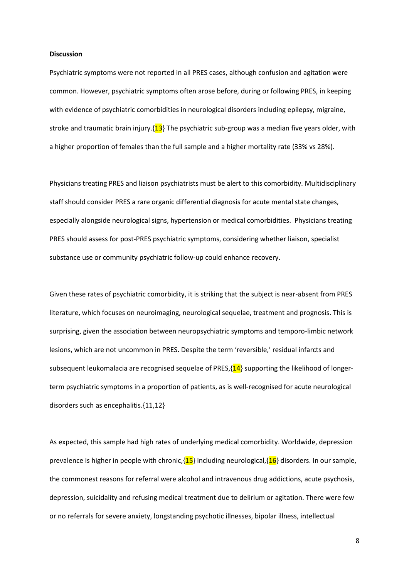#### **Discussion**

Psychiatric symptoms were not reported in all PRES cases, although confusion and agitation were common. However, psychiatric symptoms often arose before, during or following PRES, in keeping with evidence of psychiatric comorbidities in neurological disorders including epilepsy, migraine, stroke and traumatic brain injury. $\{13\}$  The psychiatric sub-group was a median five years older, with a higher proportion of females than the full sample and a higher mortality rate (33% vs 28%).

Physicians treating PRES and liaison psychiatrists must be alert to this comorbidity. Multidisciplinary staff should consider PRES a rare organic differential diagnosis for acute mental state changes, especially alongside neurological signs, hypertension or medical comorbidities. Physicians treating PRES should assess for post-PRES psychiatric symptoms, considering whether liaison, specialist substance use or community psychiatric follow-up could enhance recovery.

Given these rates of psychiatric comorbidity, it is striking that the subject is near-absent from PRES literature, which focuses on neuroimaging, neurological sequelae, treatment and prognosis. This is surprising, given the association between neuropsychiatric symptoms and temporo-limbic network lesions, which are not uncommon in PRES. Despite the term 'reversible,' residual infarcts and subsequent leukomalacia are recognised sequelae of PRES, $\{14\}$  supporting the likelihood of longerterm psychiatric symptoms in a proportion of patients, as is well-recognised for acute neurological disorders such as encephalitis.{11,12}

As expected, this sample had high rates of underlying medical comorbidity. Worldwide, depression prevalence is higher in people with chronic, $\{15\}$  including neurological, $\{16\}$  disorders. In our sample, the commonest reasons for referral were alcohol and intravenous drug addictions, acute psychosis, depression, suicidality and refusing medical treatment due to delirium or agitation. There were few or no referrals for severe anxiety, longstanding psychotic illnesses, bipolar illness, intellectual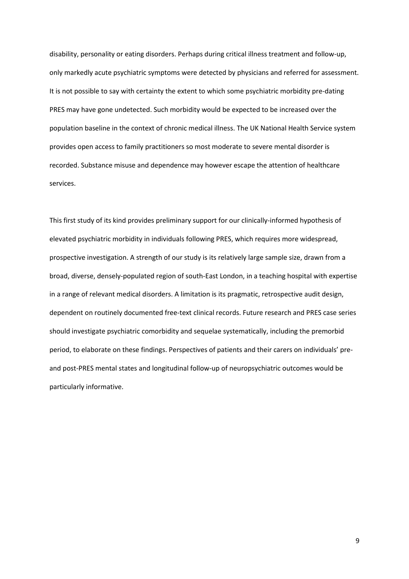disability, personality or eating disorders. Perhaps during critical illness treatment and follow-up, only markedly acute psychiatric symptoms were detected by physicians and referred for assessment. It is not possible to say with certainty the extent to which some psychiatric morbidity pre-dating PRES may have gone undetected. Such morbidity would be expected to be increased over the population baseline in the context of chronic medical illness. The UK National Health Service system provides open access to family practitioners so most moderate to severe mental disorder is recorded. Substance misuse and dependence may however escape the attention of healthcare services.

This first study of its kind provides preliminary support for our clinically-informed hypothesis of elevated psychiatric morbidity in individuals following PRES, which requires more widespread, prospective investigation. A strength of our study is its relatively large sample size, drawn from a broad, diverse, densely-populated region of south-East London, in a teaching hospital with expertise in a range of relevant medical disorders. A limitation is its pragmatic, retrospective audit design, dependent on routinely documented free-text clinical records. Future research and PRES case series should investigate psychiatric comorbidity and sequelae systematically, including the premorbid period, to elaborate on these findings. Perspectives of patients and their carers on individuals' preand post-PRES mental states and longitudinal follow-up of neuropsychiatric outcomes would be particularly informative.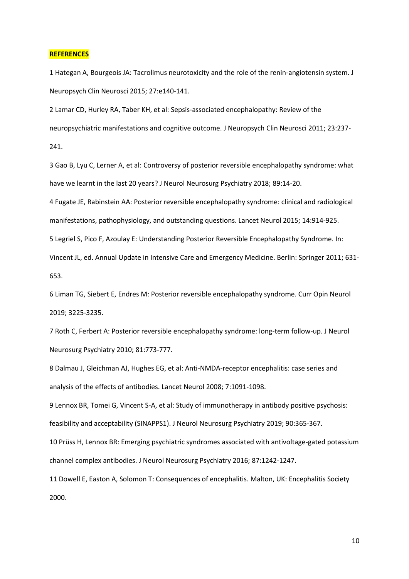#### **REFERENCES**

1 Hategan A, Bourgeois JA: Tacrolimus neurotoxicity and the role of the renin-angiotensin system. J Neuropsych Clin Neurosci 2015; 27:e140-141.

2 Lamar CD, Hurley RA, Taber KH, et al: Sepsis-associated encephalopathy: Review of the neuropsychiatric manifestations and cognitive outcome. J Neuropsych Clin Neurosci 2011; 23:237- 241.

3 Gao B, Lyu C, Lerner A, et al: Controversy of posterior reversible encephalopathy syndrome: what have we learnt in the last 20 years? J Neurol Neurosurg Psychiatry 2018; 89:14-20.

4 Fugate JE, Rabinstein AA: Posterior reversible encephalopathy syndrome: clinical and radiological manifestations, pathophysiology, and outstanding questions. Lancet Neurol 2015; 14:914-925.

5 Legriel S, Pico F, Azoulay E: Understanding Posterior Reversible Encephalopathy Syndrome. In:

Vincent JL, ed. Annual Update in Intensive Care and Emergency Medicine. Berlin: Springer 2011; 631- 653.

6 Liman TG, Siebert E, Endres M: Posterior reversible encephalopathy syndrome. Curr Opin Neurol 2019; 3225-3235.

7 Roth C, Ferbert A: Posterior reversible encephalopathy syndrome: long-term follow-up. J Neurol Neurosurg Psychiatry 2010; 81:773-777.

8 Dalmau J, Gleichman AJ, Hughes EG, et al: Anti-NMDA-receptor encephalitis: case series and analysis of the effects of antibodies. Lancet Neurol 2008; 7:1091-1098.

9 Lennox BR, Tomei G, Vincent S-A, et al: Study of immunotherapy in antibody positive psychosis: feasibility and acceptability (SINAPPS1). J Neurol Neurosurg Psychiatry 2019; 90:365-367.

10 Prüss H, Lennox BR: Emerging psychiatric syndromes associated with antivoltage-gated potassium channel complex antibodies. J Neurol Neurosurg Psychiatry 2016; 87:1242-1247.

11 Dowell E, Easton A, Solomon T: Consequences of encephalitis. Malton, UK: Encephalitis Society 2000.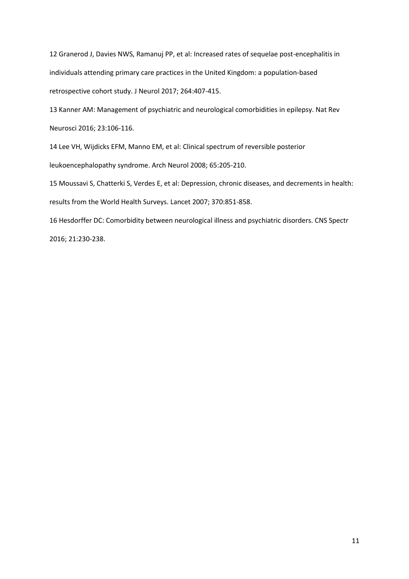12 Granerod J, Davies NWS, Ramanuj PP, et al: Increased rates of sequelae post-encephalitis in individuals attending primary care practices in the United Kingdom: a population-based retrospective cohort study. J Neurol 2017; 264:407-415.

13 Kanner AM: Management of psychiatric and neurological comorbidities in epilepsy. Nat Rev Neurosci 2016; 23:106-116.

14 Lee VH, Wijdicks EFM, Manno EM, et al: Clinical spectrum of reversible posterior

leukoencephalopathy syndrome. Arch Neurol 2008; 65:205-210.

15 Moussavi S, Chatterki S, Verdes E, et al: Depression, chronic diseases, and decrements in health: results from the World Health Surveys. Lancet 2007; 370:851-858.

16 Hesdorffer DC: Comorbidity between neurological illness and psychiatric disorders. CNS Spectr 2016; 21:230-238.